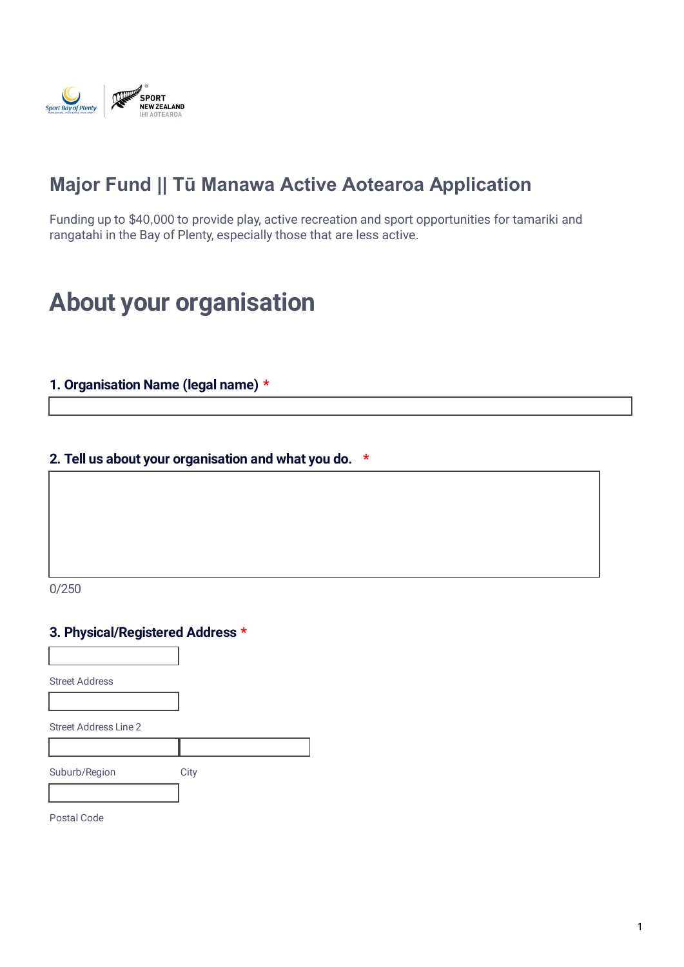

# **Major Fund || Tū Manawa Active Aotearoa Application**

Funding up to \$40,000 to provide play, active recreation and sport opportunities for tamariki and rangatahi in the Bay of Plenty, especially those that are less active.

# **About your organisation**

### **1. Organisation Name (legal name) \***

#### **2. Tell us about your organisation and what you do. \***

0/250

#### **3. Physical/Registered Address \***

Street Address

Street Address Line 2

Suburb/Region City

Postal Code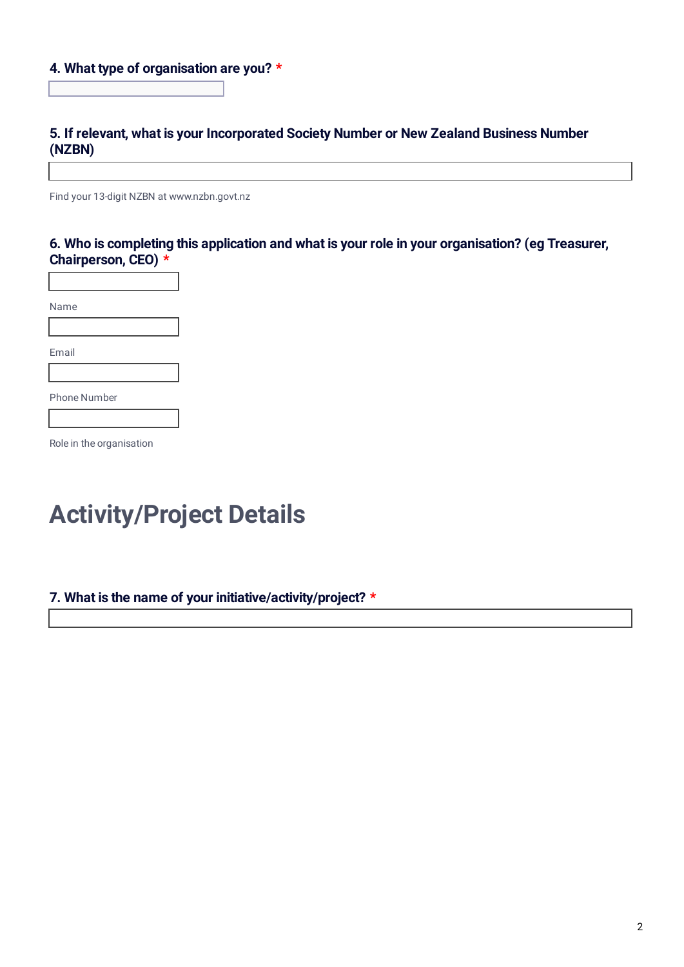#### **4. What type of organisation are you? \***

# **5. If relevant, what is your Incorporated Society Number or New Zealand Business Number (NZBN)**

Find your 13-digit NZBN at www.nzbn.govt.nz

# **6. Who is completing this application and what is your role in your organisation? (eg Treasurer, Chairperson, CEO) \***

Name Email Phone Number

Role in the organisation

# **Activity/Project Details**

#### **7. What is the name of your initiative/activity/project? \***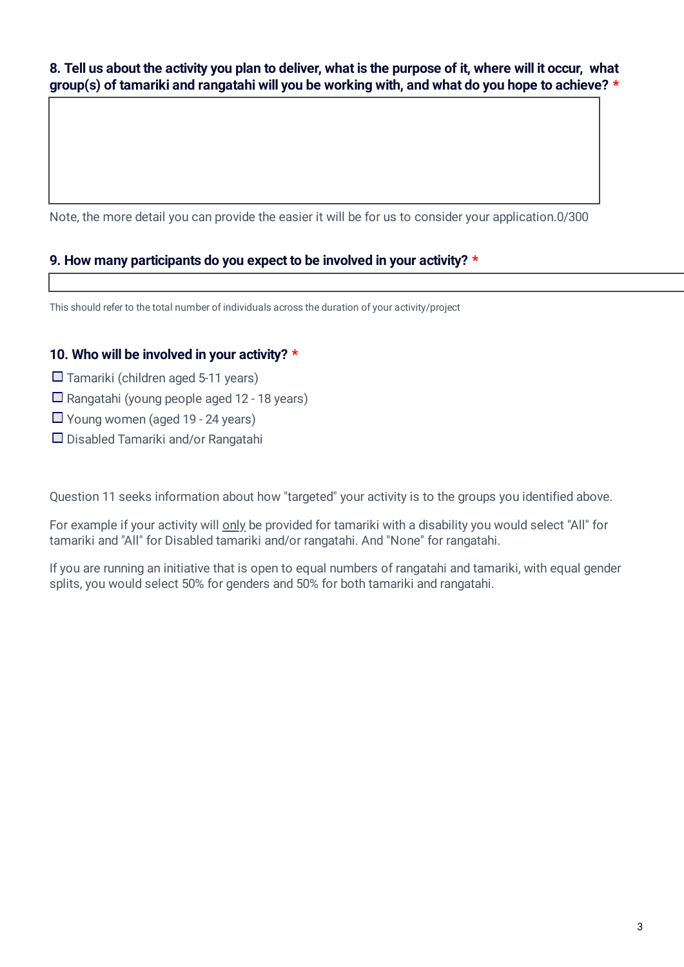**8. Tell us about the activity you plan to deliver, what is the purpose of it, where will it occur, what group(s) of tamariki and rangatahi will you be working with, and what do you hope to achieve? \***

Note, the more detail you can provide the easier it will be for us to consider your application. 0/300

# **9. How many participants do you expect to be involved in your activity? \***

This should refer to the total number of individuals across the duration of your activity/project

### **10. Who will be involved in your activity? \***

- $\Box$  Tamariki (children aged 5-11 years)
- $\Box$  Rangatahi (young people aged 12 18 years)
- $\Box$  Young women (aged 19 24 years)
- $\Box$  Disabled Tamariki and/or Rangatahi

Question 11 seeks information about how "targeted" your activity is to the groups you identified above.

For example if your activity will only be provided for tamariki with a disability you would select "All" for tamariki and "All" for Disabled tamariki and/or rangatahi. And "None" for rangatahi.

If you are running an initiative that is open to equal numbers of rangatahi and tamariki, with equal gender splits, you would select 50% for genders and 50% for both tamariki and rangatahi.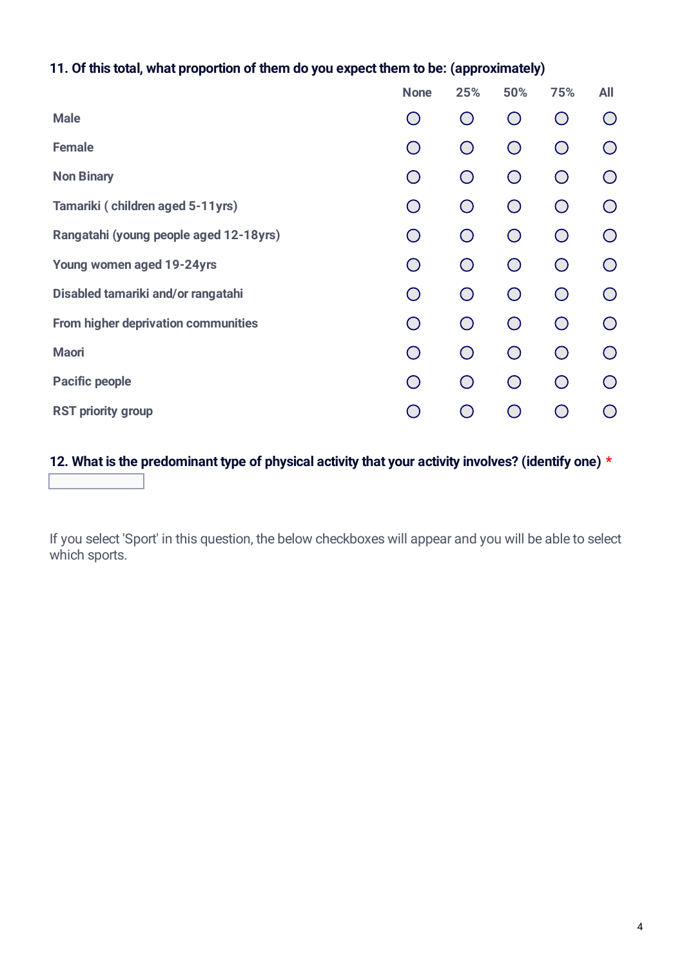# **11. Of this total, what proportion of them do you expect them to be: (approximately)**

|                                        | <b>None</b>                                   | 25%        | 50%        | 75%                                         | <b>All</b> |
|----------------------------------------|-----------------------------------------------|------------|------------|---------------------------------------------|------------|
| <b>Male</b>                            | $(\ )$                                        | $\bigcirc$ | $\bigcirc$ | $(\ )$                                      | $(\ )$     |
| <b>Female</b>                          | $(\ )$                                        | $\bigcirc$ | $\bigcap$  | $\bigcap$                                   | $\bigcirc$ |
| <b>Non Binary</b>                      |                                               | $\bigcap$  | ◯          | $\bigcirc$                                  | $\bigcap$  |
| Tamariki (children aged 5-11yrs)       | $(\ )$                                        | $\bigcirc$ | $\bigcap$  | $(\ )$                                      | $\bigcirc$ |
| Rangatahi (young people aged 12-18yrs) | $\bigcirc$                                    | $\bigcirc$ | $\bigcirc$ | $\left(\begin{array}{c} \end{array}\right)$ | $\bigcirc$ |
| Young women aged 19-24yrs              | $\bigcirc$                                    | $\bigcap$  | $\bigcap$  | $(\ )$                                      | $\bigcap$  |
| Disabled tamariki and/or rangatahi     | $\bigcirc$                                    | $\bigcap$  | $\bigcap$  | $\left(\begin{array}{c} \end{array}\right)$ | $\bigcirc$ |
| From higher deprivation communities    | $\left(\begin{array}{c} 1 \end{array}\right)$ | $\bigcap$  | ◯          | $\left(\begin{array}{c} \end{array}\right)$ | $\bigcirc$ |
| <b>Maori</b>                           | $(\ )$                                        | $\bigcirc$ | $\bigcap$  | $\left(\begin{array}{c} \end{array}\right)$ | $\bigcirc$ |
| <b>Pacific people</b>                  | $\bigcirc$                                    | $\bigcirc$ | $\bigcap$  | $\left(\begin{array}{c} \end{array}\right)$ | $\bigcirc$ |
| <b>RST priority group</b>              |                                               |            |            |                                             |            |

# **12. What is the predominant type of physical activity that your activity involves? (identify one) \***

If you select 'Sport' in this question, the below checkboxes will appear and you will be able to select which sports.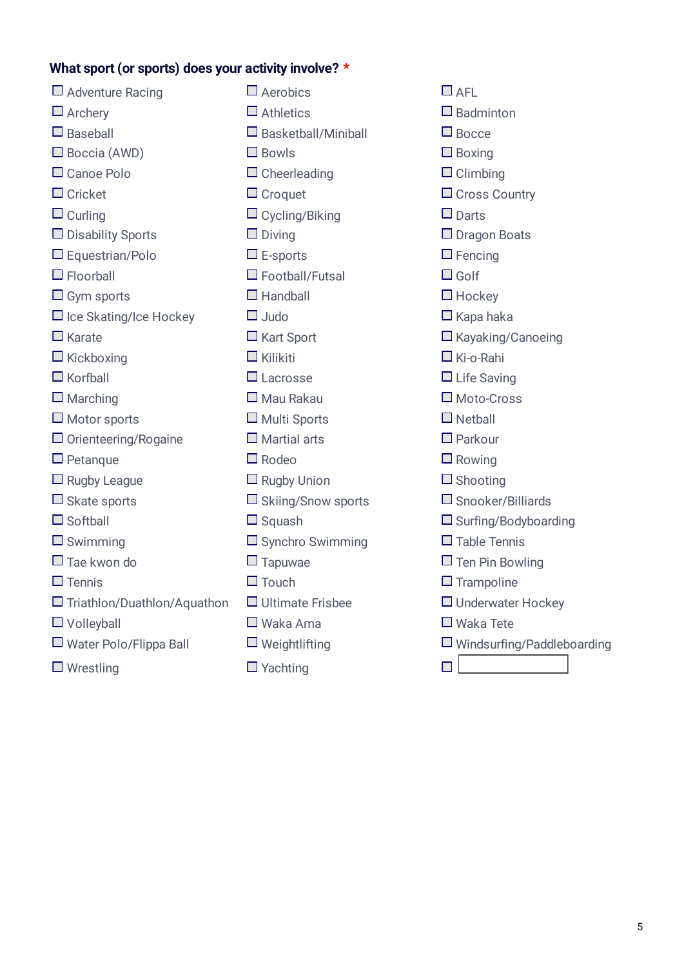# **What sport (or sports) does your activity involve? \***

| $\Box$ Adventure Racing            | $\square$ Aerobics         | $\Box$ AFL        |
|------------------------------------|----------------------------|-------------------|
| $\Box$ Archery                     | $\Box$ Athletics           | $\square$ Badmi   |
| $\Box$ Baseball                    | $\Box$ Basketball/Miniball | $\square$ Bocce   |
| $\Box$ Boccia (AWD)                | $\Box$ Bowls               | $\Box$ Boxing     |
| $\Box$ Canoe Polo                  | $\Box$ Cheerleading        | $\Box$ Climbi     |
| $\Box$ Cricket                     | $\Box$ Croquet             | $\Box$ Cross      |
| $\Box$ Curling                     | $\Box$ Cycling/Biking      | $\square$ Darts   |
| $\Box$ Disability Sports           | $\Box$ Diving              | $\Box$ Dragor     |
| $\Box$ Equestrian/Polo             | $\square$ E-sports         | $\square$ Fencin  |
| $\Box$ Floorball                   | $\Box$ Football/Futsal     | $\square$ Golf    |
| $\Box$ Gym sports                  | $\Box$ Handball            | $\Box$ Hocke      |
| $\Box$ Ice Skating/Ice Hockey      | $\Box$ Judo                | $\Box$ Kapa h     |
| $\Box$ Karate                      | $\Box$ Kart Sport          | $\Box$ Kayaki     |
| $\Box$ Kickboxing                  | $\Box$ Kilikiti            | $\Box$ Ki-o-Ra    |
| $\Box$ Korfball                    | $\Box$ Lacrosse            | $\Box$ Life Sa    |
| $\Box$ Marching                    | $\Box$ Mau Rakau           | $\square$ Moto-   |
| $\Box$ Motor sports                | $\Box$ Multi Sports        | $\Box$ Netbal     |
| $\Box$ Orienteering/Rogaine        | $\Box$ Martial arts        | $\square$ Parkou  |
| $\Box$ Petanque                    | $\Box$ Rodeo               | $\Box$ Rowing     |
| $\Box$ Rugby League                | $\Box$ Rugby Union         | $\Box$ Shooti     |
| $\Box$ Skate sports                | $\Box$ Skiing/Snow sports  | $\square$ Snook   |
| $\Box$ Softball                    | $\Box$ Squash              | $\Box$ Surfing    |
| $\Box$ Swimming                    | $\Box$ Synchro Swimming    | $\Box$ Table 1    |
| $\Box$ Tae kwon do                 | $\Box$ Tapuwae             | $\square$ Ten Pir |
| $\Box$ Tennis                      | $\Box$ Touch               | $\square$ Tramp   |
| $\Box$ Triathlon/Duathlon/Aquathon | $\Box$ Ultimate Frisbee    | $\Box$ Underv     |
| $\Box$ Volleyball                  | $\Box$ Waka Ama            | $\Box$ Waka       |
| $\Box$ Water Polo/Flippa Ball      | $\Box$ Weightlifting       | $\Box$ Winds      |
| $\Box$ Wrestling                   | $\Box$ Yachting            |                   |

 $\Box$  Badminton  $\Box$  Boxing  $\Box$  Climbing  $\Box$  Cross Country  $\square$  Dragon Boats  $\Box$  Fencing  $\Box$  Hockey  $\Box$  Kapa haka  $\square$  Kayaking/Canoeing  $\Box$  Ki-o-Rahi  $\Box$  Life Saving  $\square$  Moto-Cross  $\square$  Netball  $\Box$  Parkour  $\Box$  Rowing  $\Box$  Shooting  $\Box$  Snooker/Billiards  $\square$  Surfing/Bodyboarding  $\square$  Table Tennis  $\Box$  Ten Pin Bowling  $\square$  Trampoline  $\Box$  Underwater Hockey  $\square$  Waka Tete  $\square$  Windsurfing/Paddleboarding  $\Box$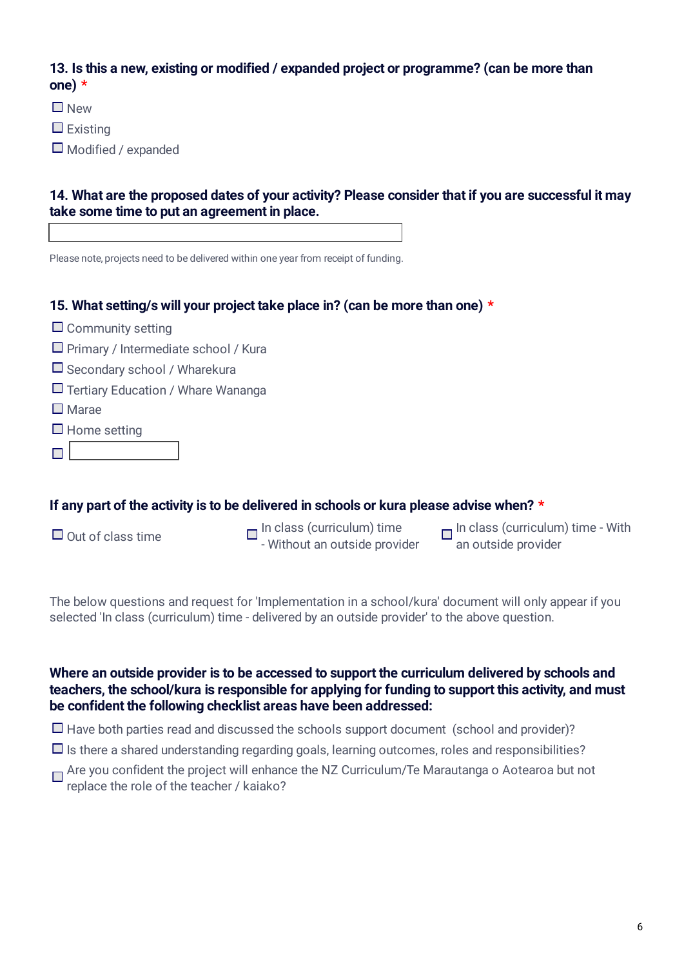# **13. Is this a new, existing or modified / expanded project or programme? (can be more than one) \***

**New** 

 $\Box$  Existing

 $\Box$  Modified / expanded

# **14. What are the proposed dates of your activity? Please consider that if you are successful it may take some time to put an agreement in place.**

Please note, projects need to be delivered within one year from receipt of funding.

# **15. What setting/s will your project take place in? (can be more than one) \***

- $\Box$  Community setting
- $\Box$  Primary / Intermediate school / Kura
- $\Box$  Secondary school / Wharekura
- $\Box$  Tertiary Education / Whare Wananga
- $\square$  Marae
- $\square$  Home setting
- $\Box$

### **If any part of the activity is to be delivered in schools or kura please advise when? \***

Out of class time  $\Box$  In class (curriculum) time<br>- Without an outside provider

In class (curriculum) time - With an outside provider

The below questions and request for 'Implementation in a school/kura' document will only appear if you selected 'In class (curriculum) time - delivered by an outside provider' to the above question.

### **Where an outside provider is to be accessed to support the curriculum delivered by schools and teachers, the school/kura is responsible for applying for funding to support this activity, and must be confident the following checklist areas have been addressed:**

 $\Box$  Have both parties read and discussed the schools support document (school and provider)?

- $\Box$  Is there a shared understanding regarding goals, learning outcomes, roles and responsibilities?
- □ Are you confident the project will enhance the NZ Curriculum/Te Marautanga o Aotearoa but not replace the role of the teacher / kaiako?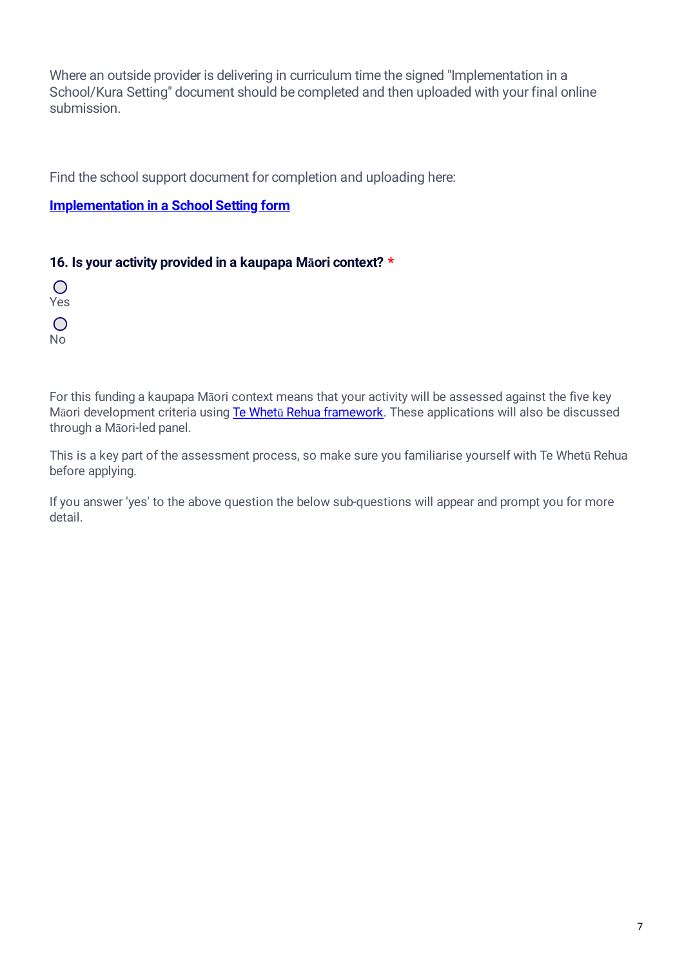Where an outside provider is delivering in curriculum time the signed "Implementation in a School/Kura Setting" document should be completed and then uploaded with your final online submission.

Find the school support document for completion and uploading here:

# **[Implementation in a School Setting form](https://sportnz.org.nz/media/3910/t%C5%AB-manawa-in-school-kura-setting-form-revised-may-2021.docx)**

# **16. Is your activity provided in a kaupapa Māori context? \***

 $\bigcirc$ Yes  $\bigcirc$ No

For this funding a kaupapa Māori context means that your activity will be assessed against the five key Māori development criteria using Te Whetū [Rehua framework.](https://sportnz.org.nz/kaupapa-maori/e-tu-maori/te-whetu-rehua/) These applications will also be discussed through a Māori-led panel.

This is a key part of the assessment process, so make sure you familiarise yourself with Te Whetū Rehua before applying.

If you answer 'yes' to the above question the below sub-questions will appear and prompt you for more detail.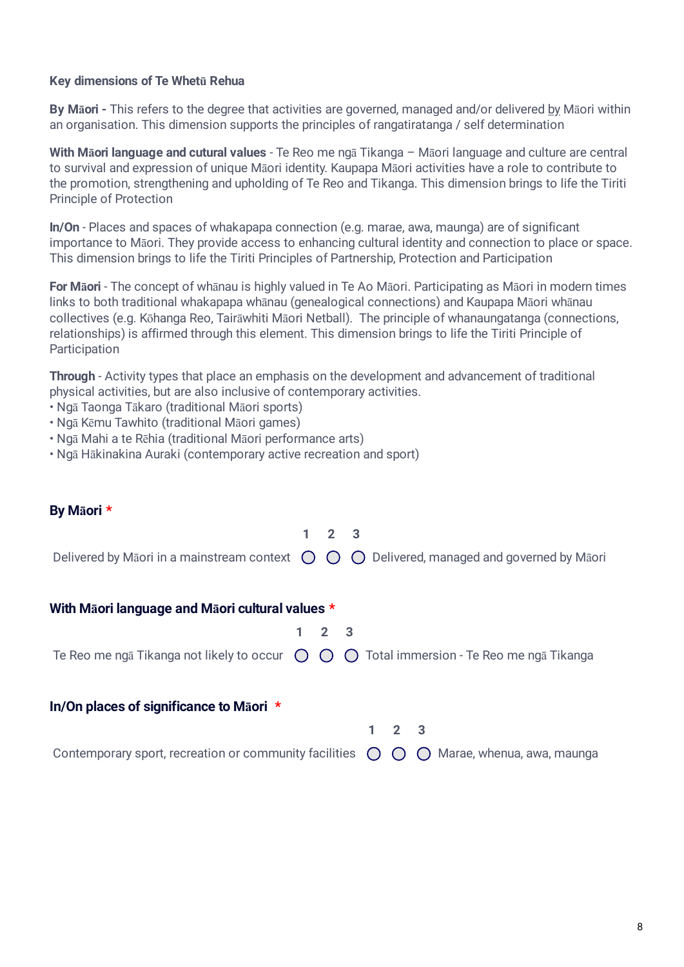#### **Key dimensions of Te Whetū Rehua**

**By Māori -** This refers to the degree that activities are governed, managed and/or delivered by Māori within an organisation. This dimension supports the principles of rangatiratanga / self determination

**With Māori language and cutural values** - Te Reo me ngā Tikanga – Māori language and culture are central to survival and expression of unique Māori identity. Kaupapa Māori activities have a role to contribute to the promotion, strengthening and upholding of Te Reo and Tikanga. This dimension brings to life the Tiriti Principle of Protection

**In/On** - Places and spaces of whakapapa connection (e.g. marae, awa, maunga) are of significant importance to Māori. They provide access to enhancing cultural identity and connection to place or space. This dimension brings to life the Tiriti Principles of Partnership, Protection and Participation

**For Māori** - The concept of whānau is highly valued in Te Ao Māori. Participating as Māori in modern times links to both traditional whakapapa whānau (genealogical connections) and Kaupapa Māori whānau collectives (e.g. Kōhanga Reo, Tairāwhiti Māori Netball). The principle of whanaungatanga (connections, relationships) is affirmed through this element. This dimension brings to life the Tiriti Principle of **Participation** 

**Through** - Activity types that place an emphasis on the development and advancement of traditional physical activities, but are also inclusive of contemporary activities.

- Ngā Taonga Tākaro (traditional Māori sports)
- Ngā Kēmu Tawhito (traditional Māori games)
- Ngā Mahi a te Rēhia (traditional Māori performance arts)
- Ngā Hākinakina Auraki (contemporary active recreation and sport)

#### **By Māori \***

|                                                                                                                    |             | $2 \overline{3}$ |                                                                                                                      |
|--------------------------------------------------------------------------------------------------------------------|-------------|------------------|----------------------------------------------------------------------------------------------------------------------|
|                                                                                                                    |             |                  | Delivered by Māori in a mainstream context $\bigcirc$ $\bigcirc$ $\bigcirc$ Delivered, managed and governed by Māori |
| With Maori language and Maori cultural values *                                                                    |             |                  |                                                                                                                      |
|                                                                                                                    | $2 \quad 3$ |                  |                                                                                                                      |
| Te Reo me ngā Tikanga not likely to occur $\bigcirc$ $\bigcirc$ $\bigcirc$ Total immersion - Te Reo me ngā Tikanga |             |                  |                                                                                                                      |
| In/On places of significance to Maori *                                                                            |             |                  |                                                                                                                      |
|                                                                                                                    |             |                  |                                                                                                                      |

Contemporary sport, recreation or community facilities  $\bigcap \bigcap$  Marae, whenua, awa, maunga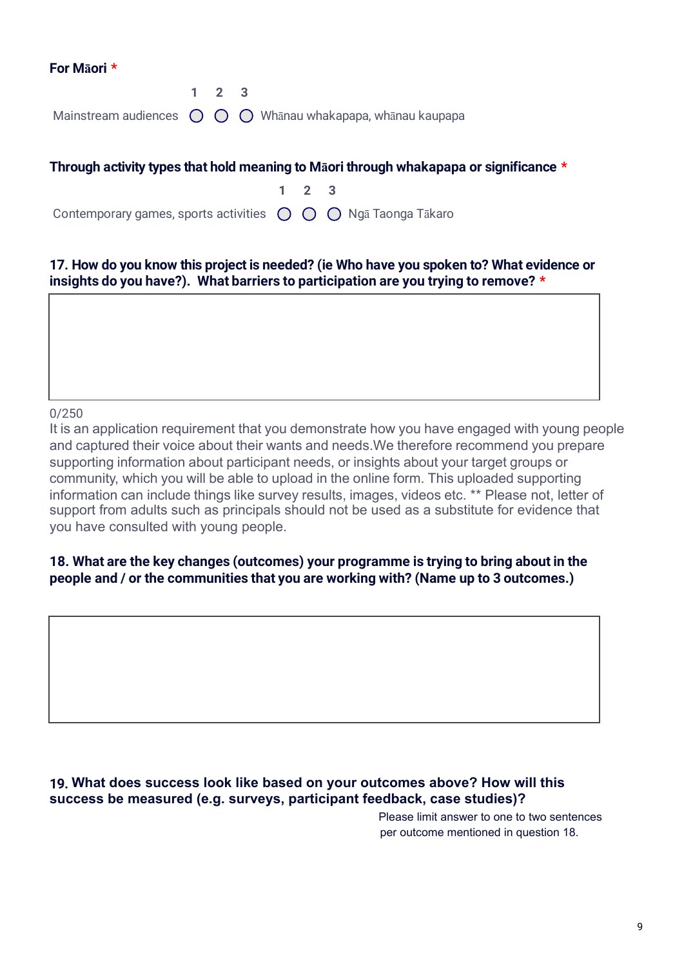#### **For Māori \***

|  | $1 \t2 \t3$ |                                                                                        |
|--|-------------|----------------------------------------------------------------------------------------|
|  |             | Mainstream audiences $\bigcirc$ $\bigcirc$ $\bigcirc$ Whanau whakapapa, whanau kaupapa |

# **Through activity types that hold meaning to Māori through whakapapa or significance \* 1 2 3**

Contemporary games, sports activities  $\bigcap$   $\bigcap$   $\bigcap$  Ngā Taonga Tākaro

# **17. How do you know this project is needed? (ie Who have you spoken to? What evidence or insights do you have?). What barriers to participation are you trying to remove? \***

#### 0/250

Name up to 3 outcomes, one to two sentences each.

It is an application requirement that you demonstrate how you have engaged with young people and captured their voice about their wants and needs.We therefore recommend you prepare supporting information about participant needs, or insights about your target groups or community, which you will be able to upload in the online form. This uploaded supporting information can include things like survey results, images, videos etc. \*\* Please not, letter of support from adults such as principals should not be used as a substitute for evidence that you have consulted with young people.

# **18. What are the key changes (outcomes) your programme is trying to bring about in the people and / or the communities that you are working with? (Name up to 3 outcomes.)**

# **19. What does success look like based on your outcomes above? How will this success be measured (e.g. surveys, participant feedback, case studies)?**

Please limit answer to one to two sentences per outcome mentioned in question 18.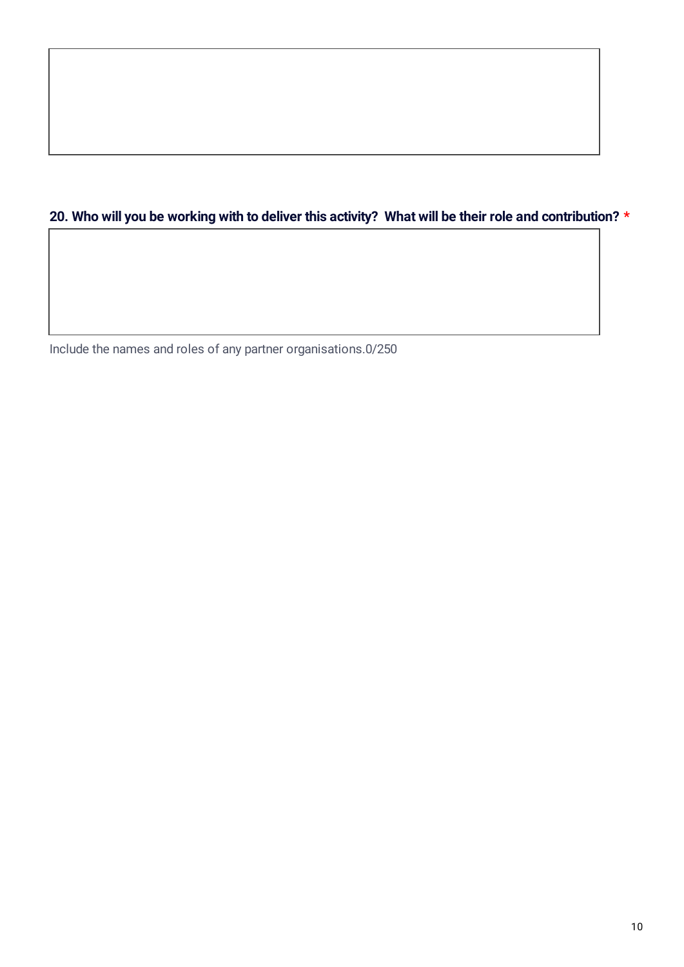# **20. Who will you be working with to deliver this activity? What will be their role and contribution? \***

Include the names and roles of any partner organisations. 0/250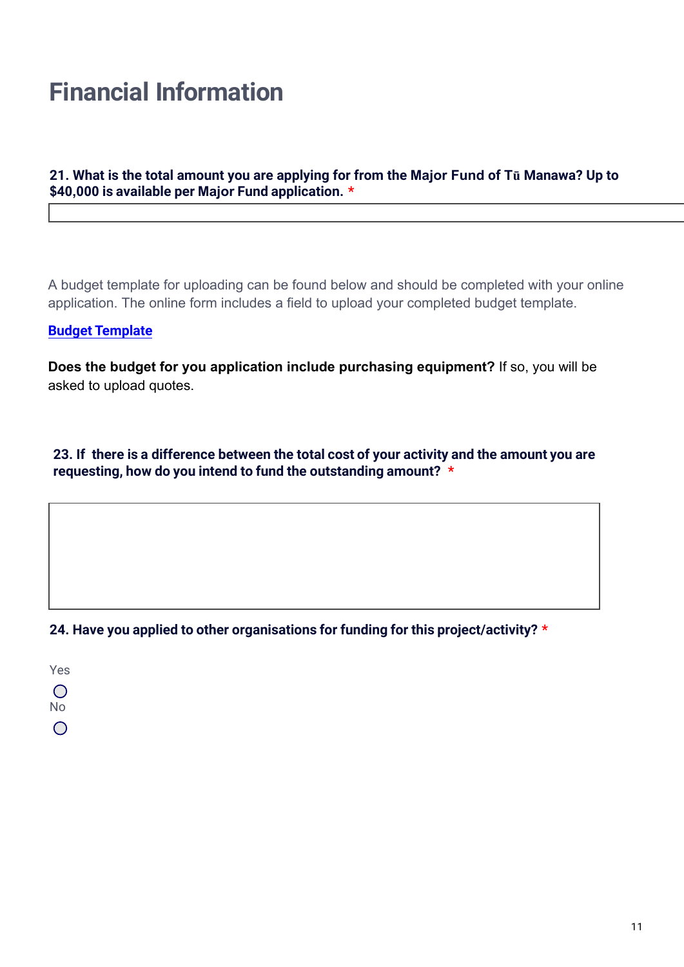# **Financial Information**

# **21. What is the total amount you are applying for from the Major Fund of Tū Manawa? Up to \$40,000 is available per Major Fund application. \***

A budget template for uploading can be found below and should be completed with your online application. The online form includes a field to upload your completed budget template.

# **Budget Template**

**[Does the budget for you application include purchasing equipment?](https://sportbop.co.nz/downloads/Sport-NZ-Budget-template.xlsx)** If so, you will be asked to upload quotes.

**23. If there is a difference between the total cost of your activity and the amount you are requesting, how do you intend to fund the outstanding amount? \***

### **24. Have you applied to other organisations for funding for this project/activity? \***

Yes  $\bigcirc$ No

0/100

 $\bigcap$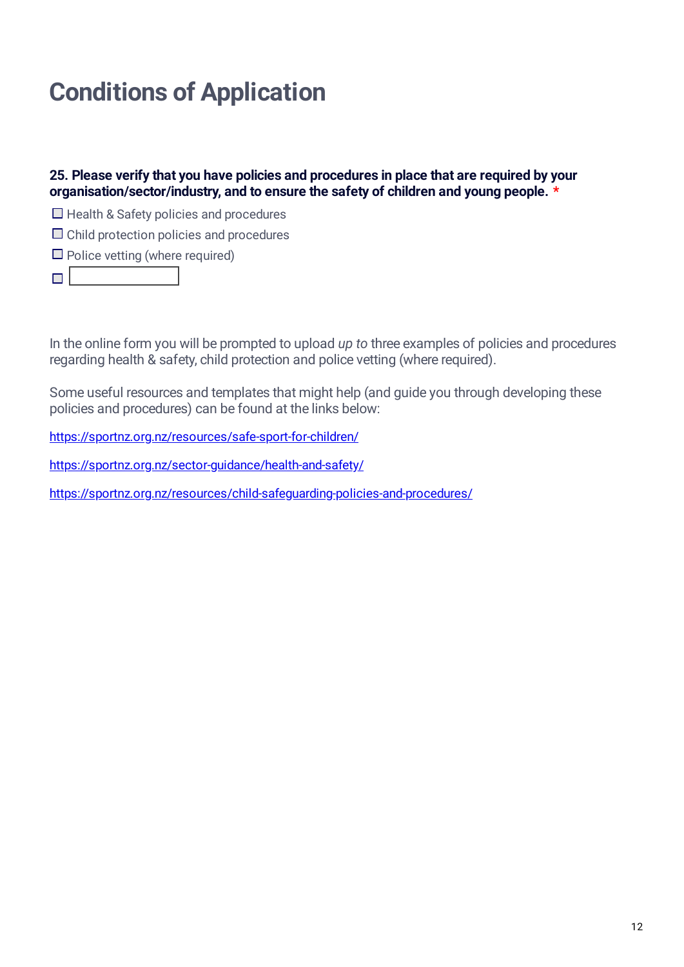# **Conditions of Application**

**25. Please verify that you have policies and procedures in place that are required by your organisation/sector/industry, and to ensure the safety of children and young people. \***

 $\Box$  Health & Safety policies and procedures

 $\Box$  Child protection policies and procedures

 $\Box$  Police vetting (where required)

 $\Box$ 

In the online form you will be prompted to upload *up to* three examples of policies and procedures regarding health & safety, child protection and police vetting (where required).

Some useful resources and templates that might help (and guide you through developing these policies and procedures) can be found at the links below:

<https://sportnz.org.nz/resources/safe-sport-for-children/>

<https://sportnz.org.nz/sector-guidance/health-and-safety/>

<https://sportnz.org.nz/resources/child-safeguarding-policies-and-procedures/>